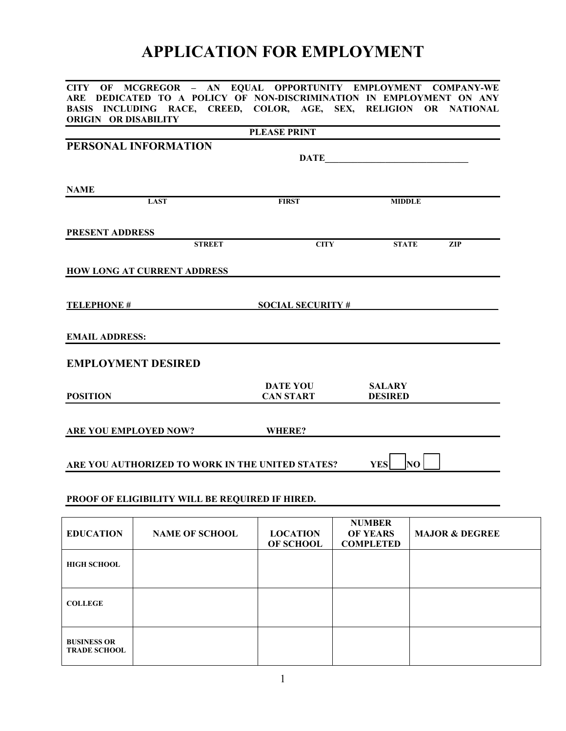## **APPLICATION FOR EMPLOYMENT**

| <b>ORIGIN OR DISABILITY</b> | CITY OF MCGREGOR - AN EQUAL OPPORTUNITY EMPLOYMENT COMPANY-WE<br>ARE DEDICATED TO A POLICY OF NON-DISCRIMINATION IN EMPLOYMENT ON ANY<br>BASIS INCLUDING RACE, CREED, COLOR, AGE, SEX, RELIGION OR NATIONAL |                                                                        |                                                      |                           |  |  |
|-----------------------------|-------------------------------------------------------------------------------------------------------------------------------------------------------------------------------------------------------------|------------------------------------------------------------------------|------------------------------------------------------|---------------------------|--|--|
|                             |                                                                                                                                                                                                             | <b>PLEASE PRINT</b>                                                    |                                                      |                           |  |  |
|                             | PERSONAL INFORMATION                                                                                                                                                                                        |                                                                        |                                                      |                           |  |  |
| <b>NAME</b>                 |                                                                                                                                                                                                             | <b>FIRST</b>                                                           |                                                      |                           |  |  |
|                             | LAST                                                                                                                                                                                                        |                                                                        | <b>MIDDLE</b>                                        |                           |  |  |
| <b>PRESENT ADDRESS</b>      | <b>STREET</b>                                                                                                                                                                                               | <b>CITY</b>                                                            | <b>STATE</b>                                         | <b>ZIP</b>                |  |  |
|                             | <b>HOW LONG AT CURRENT ADDRESS</b>                                                                                                                                                                          |                                                                        |                                                      |                           |  |  |
| <b>TELEPHONE #</b>          | <b>SOCIAL SECURITY #</b>                                                                                                                                                                                    |                                                                        |                                                      |                           |  |  |
| <b>EMAIL ADDRESS:</b>       |                                                                                                                                                                                                             |                                                                        |                                                      |                           |  |  |
|                             | <b>EMPLOYMENT DESIRED</b>                                                                                                                                                                                   |                                                                        |                                                      |                           |  |  |
| <b>POSITION</b>             |                                                                                                                                                                                                             | <b>DATE YOU</b><br><b>SALARY</b><br><b>CAN START</b><br><b>DESIRED</b> |                                                      |                           |  |  |
|                             | <b>ARE YOU EMPLOYED NOW?</b>                                                                                                                                                                                | <b>WHERE?</b>                                                          |                                                      |                           |  |  |
|                             | ARE YOU AUTHORIZED TO WORK IN THE UNITED STATES?                                                                                                                                                            |                                                                        | <b>YES</b>                                           | NO.                       |  |  |
|                             | PROOF OF ELIGIBILITY WILL BE REQUIRED IF HIRED.                                                                                                                                                             |                                                                        |                                                      |                           |  |  |
| <b>EDUCATION</b>            | <b>NAME OF SCHOOL</b>                                                                                                                                                                                       | <b>LOCATION</b><br>OF SCHOOL                                           | <b>NUMBER</b><br><b>OF YEARS</b><br><b>COMPLETED</b> | <b>MAJOR &amp; DEGREE</b> |  |  |
| <b>HIGH SCHOOL</b>          |                                                                                                                                                                                                             |                                                                        |                                                      |                           |  |  |
| <b>COLLEGE</b>              |                                                                                                                                                                                                             |                                                                        |                                                      |                           |  |  |

**BUSINESS OR TRADE SCHOOL**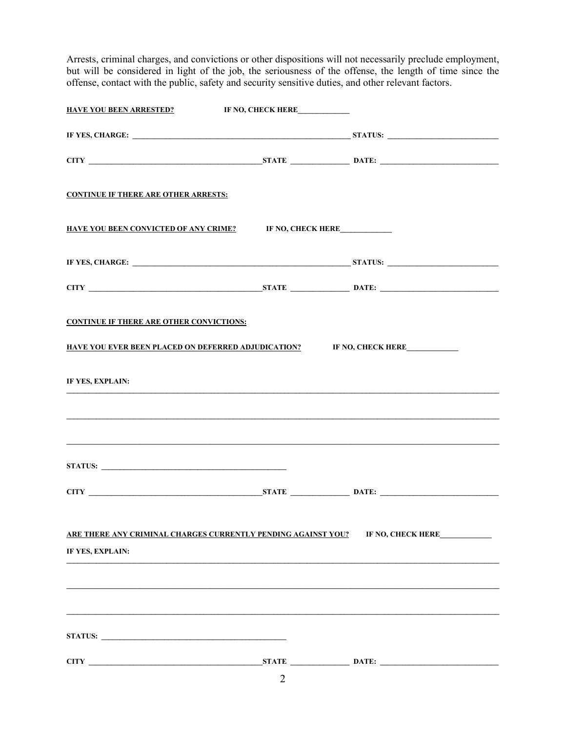Arrests, criminal charges, and convictions or other dispositions will not necessarily preclude employment, but will be considered in light of the job, the seriousness of the offense, the length of time since the offense, contact with the public, safety and security sensitive duties, and other relevant factors.

| <b>HAVE YOU BEEN ARRESTED?</b>                                                         | IF NO, CHECK HERE |  |
|----------------------------------------------------------------------------------------|-------------------|--|
|                                                                                        |                   |  |
|                                                                                        |                   |  |
| <b>CONTINUE IF THERE ARE OTHER ARRESTS:</b>                                            |                   |  |
| <u>HAVE YOU BEEN CONVICTED OF ANY CRIME?</u> IF NO, CHECK HERE                         |                   |  |
|                                                                                        |                   |  |
|                                                                                        |                   |  |
| <b>CONTINUE IF THERE ARE OTHER CONVICTIONS:</b>                                        |                   |  |
| <u>HAVE YOU EVER BEEN PLACED ON DEFERRED ADJUDICATION?</u> IF NO, CHECK HERE__________ |                   |  |
| IF YES, EXPLAIN:                                                                       |                   |  |
|                                                                                        |                   |  |
|                                                                                        |                   |  |
|                                                                                        |                   |  |
|                                                                                        |                   |  |
| ARE THERE ANY CRIMINAL CHARGES CURRENTLY PENDING AGAINST YOU? IF NO, CHECK HERE        |                   |  |
| IF YES, EXPLAIN:                                                                       |                   |  |
|                                                                                        |                   |  |
|                                                                                        |                   |  |
|                                                                                        |                   |  |
|                                                                                        |                   |  |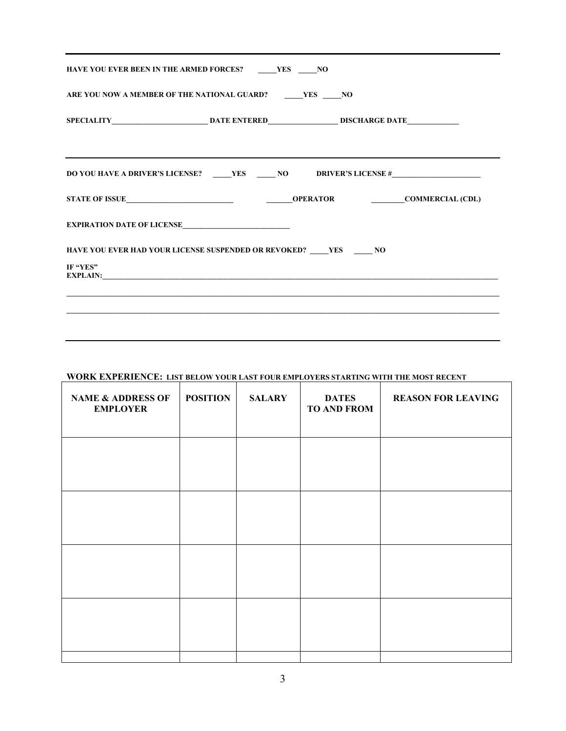| HAVE YOU EVER BEEN IN THE ARMED FORCES? _______YES ______NO                                                                                                                                                                                                                                                            |  |  |
|------------------------------------------------------------------------------------------------------------------------------------------------------------------------------------------------------------------------------------------------------------------------------------------------------------------------|--|--|
| ARE YOU NOW A MEMBER OF THE NATIONAL GUARD? _______YES ______NO                                                                                                                                                                                                                                                        |  |  |
|                                                                                                                                                                                                                                                                                                                        |  |  |
|                                                                                                                                                                                                                                                                                                                        |  |  |
| STATE OF ISSUE COMMERCIAL (CDL)                                                                                                                                                                                                                                                                                        |  |  |
| EXPIRATION DATE OF LICENSE                                                                                                                                                                                                                                                                                             |  |  |
| HAVE YOU EVER HAD YOUR LICENSE SUSPENDED OR REVOKED? _____ YES ______ NO<br>IF "YES"<br>EXPLAIN: The contract of the contract of the contract of the contract of the contract of the contract of the contract of the contract of the contract of the contract of the contract of the contract of the contract of the c |  |  |
|                                                                                                                                                                                                                                                                                                                        |  |  |
|                                                                                                                                                                                                                                                                                                                        |  |  |

## **WORK EXPERIENCE: LIST BELOW YOUR LAST FOUR EMPLOYERS STARTING WITH THE MOST RECENT**

| <b>POSITION</b> | <b>SALARY</b> | <b>DATES</b><br><b>TO AND FROM</b> | <b>REASON FOR LEAVING</b> |
|-----------------|---------------|------------------------------------|---------------------------|
|                 |               |                                    |                           |
|                 |               |                                    |                           |
|                 |               |                                    |                           |
|                 |               |                                    |                           |
|                 |               |                                    |                           |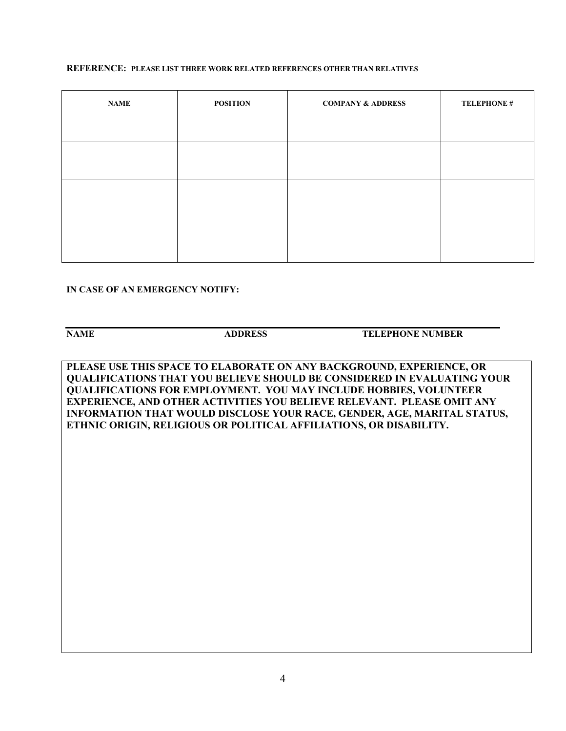## **REFERENCE: PLEASE LIST THREE WORK RELATED REFERENCES OTHER THAN RELATIVES**

| TELEPHONE # |
|-------------|
|             |
|             |
|             |
|             |
|             |
|             |
|             |

## **IN CASE OF AN EMERGENCY NOTIFY:**

**NAME** ADDRESS TELEPHONE NUMBER

**PLEASE USE THIS SPACE TO ELABORATE ON ANY BACKGROUND, EXPERIENCE, OR QUALIFICATIONS THAT YOU BELIEVE SHOULD BE CONSIDERED IN EVALUATING YOUR QUALIFICATIONS FOR EMPLOYMENT. YOU MAY INCLUDE HOBBIES, VOLUNTEER EXPERIENCE, AND OTHER ACTIVITIES YOU BELIEVE RELEVANT. PLEASE OMIT ANY INFORMATION THAT WOULD DISCLOSE YOUR RACE, GENDER, AGE, MARITAL STATUS, ETHNIC ORIGIN, RELIGIOUS OR POLITICAL AFFILIATIONS, OR DISABILITY.**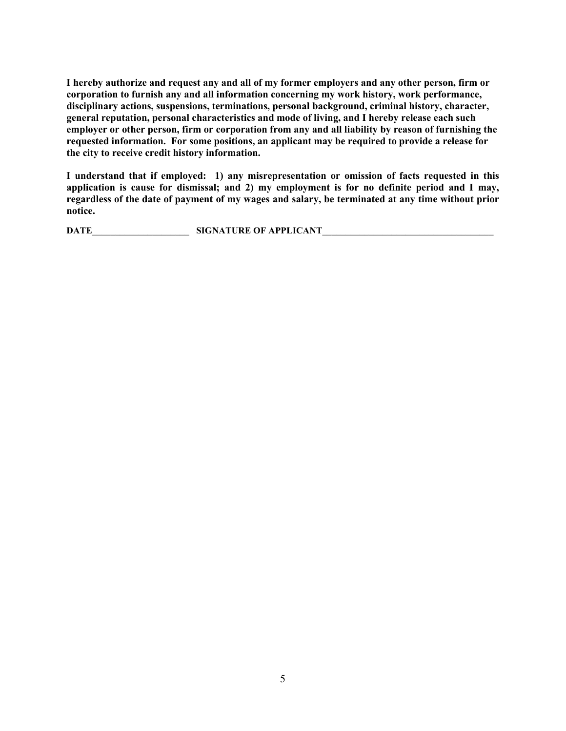**I hereby authorize and request any and all of my former employers and any other person, firm or corporation to furnish any and all information concerning my work history, work performance, disciplinary actions, suspensions, terminations, personal background, criminal history, character, general reputation, personal characteristics and mode of living, and I hereby release each such employer or other person, firm or corporation from any and all liability by reason of furnishing the requested information. For some positions, an applicant may be required to provide a release for the city to receive credit history information.**

**I understand that if employed: 1) any misrepresentation or omission of facts requested in this application is cause for dismissal; and 2) my employment is for no definite period and I may, regardless of the date of payment of my wages and salary, be terminated at any time without prior notice.**

**DATE\_\_\_\_\_\_\_\_\_\_\_\_\_\_\_\_\_\_\_\_\_ SIGNATURE OF APPLICANT\_\_\_\_\_\_\_\_\_\_\_\_\_\_\_\_\_\_\_\_\_\_\_\_\_\_\_\_\_\_\_\_\_\_\_\_\_**